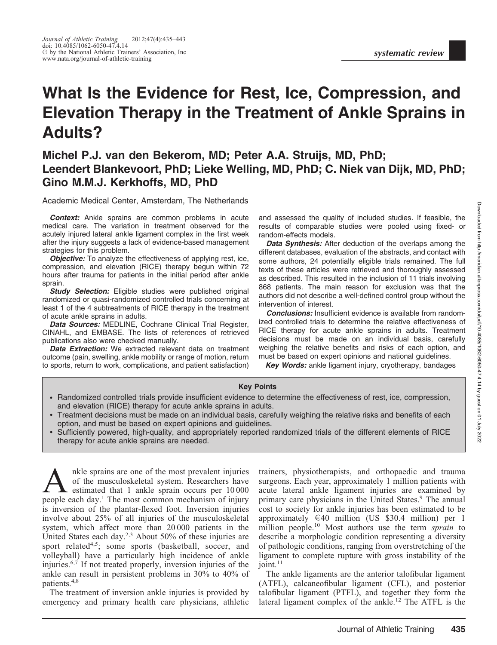# What Is the Evidence for Rest, Ice, Compression, and Elevation Therapy in the Treatment of Ankle Sprains in Adults?

## Michel P.J. van den Bekerom, MD; Peter A.A. Struijs, MD, PhD; Leendert Blankevoort, PhD; Lieke Welling, MD, PhD; C. Niek van Dijk, MD, PhD; Gino M.M.J. Kerkhoffs, MD, PhD

#### Academic Medical Center, Amsterdam, The Netherlands

**Context:** Ankle sprains are common problems in acute medical care. The variation in treatment observed for the acutely injured lateral ankle ligament complex in the first week after the injury suggests a lack of evidence-based management strategies for this problem.

**Objective:** To analyze the effectiveness of applying rest, ice, compression, and elevation (RICE) therapy begun within 72 hours after trauma for patients in the initial period after ankle sprain.

**Study Selection:** Eligible studies were published original randomized or quasi-randomized controlled trials concerning at least 1 of the 4 subtreatments of RICE therapy in the treatment of acute ankle sprains in adults.

Data Sources: MEDLINE, Cochrane Clinical Trial Register, CINAHL, and EMBASE. The lists of references of retrieved publications also were checked manually.

Data Extraction: We extracted relevant data on treatment outcome (pain, swelling, ankle mobility or range of motion, return to sports, return to work, complications, and patient satisfaction) and assessed the quality of included studies. If feasible, the results of comparable studies were pooled using fixed- or random-effects models.

Data Synthesis: After deduction of the overlaps among the different databases, evaluation of the abstracts, and contact with some authors, 24 potentially eligible trials remained. The full texts of these articles were retrieved and thoroughly assessed as described. This resulted in the inclusion of 11 trials involving 868 patients. The main reason for exclusion was that the authors did not describe a well-defined control group without the intervention of interest.

Conclusions: Insufficient evidence is available from randomized controlled trials to determine the relative effectiveness of RICE therapy for acute ankle sprains in adults. Treatment decisions must be made on an individual basis, carefully weighing the relative benefits and risks of each option, and must be based on expert opinions and national guidelines.

**Key Words:** ankle ligament injury, cryotherapy, bandages

#### Key Points

- Randomized controlled trials provide insufficient evidence to determine the effectiveness of rest, ice, compression, and elevation (RICE) therapy for acute ankle sprains in adults.
- Treatment decisions must be made on an individual basis, carefully weighing the relative risks and benefits of each option, and must be based on expert opinions and guidelines.
- Sufficiently powered, high-quality, and appropriately reported randomized trials of the different elements of RICE therapy for acute ankle sprains are needed.

A<br>
A nkle sprains are one of the most prevalent injuries<br>
of the musculoskeletal system. Researchers have<br>
estimated that 1 ankle sprain occurs per  $10\,000$ <br>
people each day <sup>1</sup> The most common mechanism of injury of the musculoskeletal system. Researchers have people each day.<sup>1</sup> The most common mechanism of injury is inversion of the plantar-flexed foot. Inversion injuries involve about 25% of all injuries of the musculoskeletal system, which affect more than 20 000 patients in the United States each day.<sup>2,3</sup> About 50% of these injuries are sport related<sup>4,5</sup>; some sports (basketball, soccer, and volleyball) have a particularly high incidence of ankle injuries.6,7 If not treated properly, inversion injuries of the ankle can result in persistent problems in 30% to 40% of patients.<sup>4,8</sup>

The treatment of inversion ankle injuries is provided by emergency and primary health care physicians, athletic

trainers, physiotherapists, and orthopaedic and trauma surgeons. Each year, approximately 1 million patients with acute lateral ankle ligament injuries are examined by primary care physicians in the United States.<sup>9</sup> The annual cost to society for ankle injuries has been estimated to be approximately  $\in$ 40 million (US \$30.4 million) per 1 million people.<sup>10</sup> Most authors use the term *sprain* to describe a morphologic condition representing a diversity of pathologic conditions, ranging from overstretching of the ligament to complete rupture with gross instability of the  $joint.<sup>11</sup>$ 

The ankle ligaments are the anterior talofibular ligament (ATFL), calcaneofibular ligament (CFL), and posterior talofibular ligament (PTFL), and together they form the lateral ligament complex of the ankle.<sup>12</sup> The ATFL is the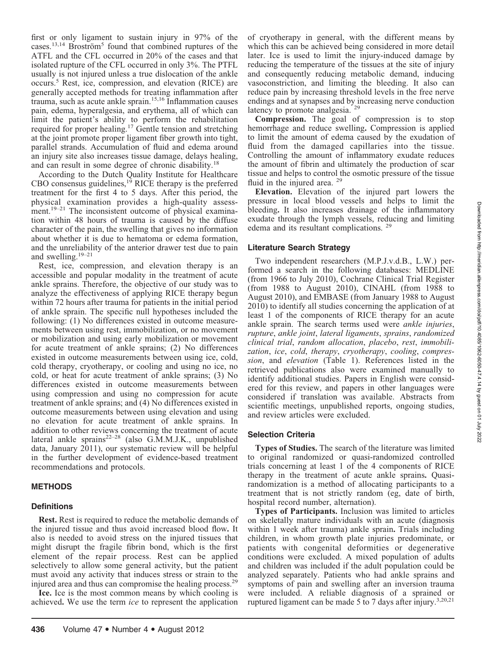first or only ligament to sustain injury in 97% of the cases.<sup>13,14</sup> Broström<sup>5</sup> found that combined ruptures of the ATFL and the CFL occurred in 20% of the cases and that isolated rupture of the CFL occurred in only 3%. The PTFL usually is not injured unless a true dislocation of the ankle occurs.5 Rest, ice, compression, and elevation (RICE) are generally accepted methods for treating inflammation after trauma, such as acute ankle sprain.15,16 Inflammation causes pain, edema, hyperalgesia, and erythema, all of which can limit the patient's ability to perform the rehabilitation required for proper healing.17 Gentle tension and stretching at the joint promote proper ligament fiber growth into tight, parallel strands. Accumulation of fluid and edema around an injury site also increases tissue damage, delays healing, and can result in some degree of chronic disability.<sup>18</sup>

According to the Dutch Quality Institute for Healthcare CBO consensus guidelines, $19$  RICE therapy is the preferred treatment for the first 4 to 5 days. After this period, the physical examination provides a high-quality assessment.<sup>19–21</sup> The inconsistent outcome of physical examination within 48 hours of trauma is caused by the diffuse character of the pain, the swelling that gives no information about whether it is due to hematoma or edema formation, and the unreliability of the anterior drawer test due to pain and swelling.19–21

Rest, ice, compression, and elevation therapy is an accessible and popular modality in the treatment of acute ankle sprains. Therefore, the objective of our study was to analyze the effectiveness of applying RICE therapy begun within 72 hours after trauma for patients in the initial period of ankle sprain. The specific null hypotheses included the following: (1) No differences existed in outcome measurements between using rest, immobilization, or no movement or mobilization and using early mobilization or movement for acute treatment of ankle sprains; (2) No differences existed in outcome measurements between using ice, cold, cold therapy, cryotherapy, or cooling and using no ice, no cold, or heat for acute treatment of ankle sprains; (3) No differences existed in outcome measurements between using compression and using no compression for acute treatment of ankle sprains; and (4) No differences existed in outcome measurements between using elevation and using no elevation for acute treatment of ankle sprains. In addition to other reviews concerning the treatment of acute lateral ankle sprains<sup>22–28</sup> (also G.M.M.J.K., unpublished data, January 2011), our systematic review will be helpful in the further development of evidence-based treatment recommendations and protocols.

## METHODS

## **Definitions**

Rest. Rest is required to reduce the metabolic demands of the injured tissue and thus avoid increased blood flow. It also is needed to avoid stress on the injured tissues that might disrupt the fragile fibrin bond, which is the first element of the repair process. Rest can be applied selectively to allow some general activity, but the patient must avoid any activity that induces stress or strain to the injured area and thus can compromise the healing process.<sup>29</sup>

Ice. Ice is the most common means by which cooling is achieved. We use the term ice to represent the application of cryotherapy in general, with the different means by which this can be achieved being considered in more detail later. Ice is used to limit the injury-induced damage by reducing the temperature of the tissues at the site of injury and consequently reducing metabolic demand, inducing vasoconstriction, and limiting the bleeding. It also can reduce pain by increasing threshold levels in the free nerve endings and at synapses and by increasing nerve conduction latency to promote analgesia. <sup>29</sup>

Compression. The goal of compression is to stop hemorrhage and reduce swelling. Compression is applied to limit the amount of edema caused by the exudation of fluid from the damaged capillaries into the tissue. Controlling the amount of inflammatory exudate reduces the amount of fibrin and ultimately the production of scar tissue and helps to control the osmotic pressure of the tissue fluid in the injured area. <sup>29</sup>

Elevation. Elevation of the injured part lowers the pressure in local blood vessels and helps to limit the bleeding. It also increases drainage of the inflammatory exudate through the lymph vessels, reducing and limiting edema and its resultant complications. <sup>29</sup>

#### Literature Search Strategy

Two independent researchers (M.P.J.v.d.B., L.W.) performed a search in the following databases: MEDLINE (from 1966 to July 2010), Cochrane Clinical Trial Register (from 1988 to August 2010), CINAHL (from 1988 to August 2010), and EMBASE (from January 1988 to August 2010) to identify all studies concerning the application of at least 1 of the components of RICE therapy for an acute ankle sprain. The search terms used were ankle injuries, rupture, ankle joint, lateral ligaments, sprains, randomized clinical trial, random allocation, placebo, rest, immobilization, ice, cold, therapy, cryotherapy, cooling, compression, and elevation (Table 1). References listed in the retrieved publications also were examined manually to identify additional studies. Papers in English were considered for this review, and papers in other languages were considered if translation was available. Abstracts from scientific meetings, unpublished reports, ongoing studies, and review articles were excluded.

## Selection Criteria

Types of Studies. The search of the literature was limited to original randomized or quasi-randomized controlled trials concerning at least 1 of the 4 components of RICE therapy in the treatment of acute ankle sprains. Quasirandomization is a method of allocating participants to a treatment that is not strictly random (eg, date of birth, hospital record number, alternation).

Types of Participants. Inclusion was limited to articles on skeletally mature individuals with an acute (diagnosis within 1 week after trauma) ankle sprain. Trials including children, in whom growth plate injuries predominate, or patients with congenital deformities or degenerative conditions were excluded. A mixed population of adults and children was included if the adult population could be analyzed separately. Patients who had ankle sprains and symptoms of pain and swelling after an inversion trauma were included. A reliable diagnosis of a sprained or ruptured ligament can be made 5 to 7 days after injury.<sup>3,20,21</sup>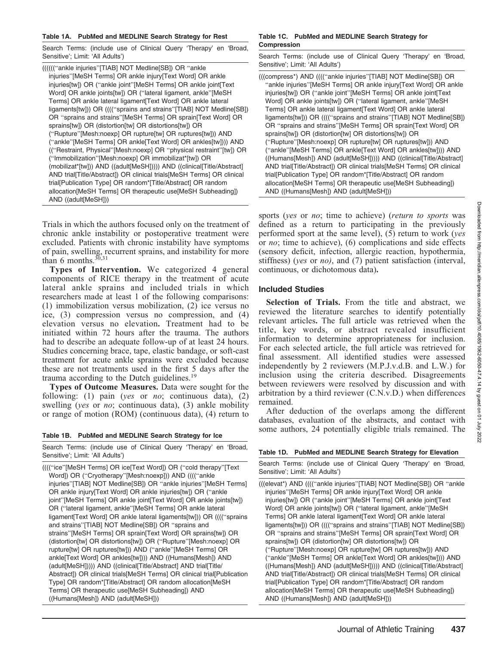#### Table 1A. PubMed and MEDLINE Search Strategy for Rest

Search Terms: (include use of Clinical Query 'Therapy' en 'Broad, Sensitive'; Limit: 'All Adults')

((((((''ankle injuries''[TIAB] NOT Medline[SB]) OR ''ankle injuries''[MeSH Terms] OR ankle injury[Text Word] OR ankle injuries[tw]) OR (''ankle joint''[MeSH Terms] OR ankle joint[Text Word] OR ankle joints[tw]) OR ("lateral ligament, ankle"[MeSH Terms] OR ankle lateral ligament[Text Word] OR ankle lateral ligaments[tw])) OR ((((''sprains and strains''[TIAB] NOT Medline[SB]) OR ''sprains and strains''[MeSH Terms] OR sprain[Text Word] OR sprains[tw]) OR (distortion[tw] OR distortions[tw]) OR (''Rupture''[Mesh:noexp] OR rupture[tw] OR ruptures[tw])) AND (''ankle''[MeSH Terms] OR ankle[Text Word] OR ankles[tw]))) AND ((''Restraint, Physical''[Mesh:noexp] OR ''physical restraint''[tw]) OR (''Immobilization''[Mesh:noexp] OR immobilizat\*[tw]) OR (mobilizat\*[tw])) AND ((adult[MeSH])))) AND ((clinical[Title/Abstract] AND trial[Title/Abstract]) OR clinical trials[MeSH Terms] OR clinical trial[Publication Type] OR random\*[Title/Abstract] OR random allocation[MeSH Terms] OR therapeutic use[MeSH Subheading]) AND ((adult[MeSH]))

Trials in which the authors focused only on the treatment of chronic ankle instability or postoperative treatment were excluded. Patients with chronic instability have symptoms of pain, swelling, recurrent sprains, and instability for more than 6 months. $30,31$ 

Types of Intervention. We categorized 4 general components of RICE therapy in the treatment of acute lateral ankle sprains and included trials in which researchers made at least 1 of the following comparisons: (1) immobilization versus mobilization, (2) ice versus no ice, (3) compression versus no compression, and (4) elevation versus no elevation. Treatment had to be initiated within 72 hours after the trauma. The authors had to describe an adequate follow-up of at least 24 hours. Studies concerning brace, tape, elastic bandage, or soft-cast treatment for acute ankle sprains were excluded because these are not treatments used in the first 5 days after the trauma according to the Dutch guidelines.<sup>19</sup>

Types of Outcome Measures. Data were sought for the following: (1) pain (yes or *no*; continuous data), (2) swelling (yes or *no*; continuous data), (3) ankle mobility or range of motion (ROM) (continuous data), (4) return to

#### Table 1B. PubMed and MEDLINE Search Strategy for Ice

Search Terms: (include use of Clinical Query 'Therapy' en 'Broad, Sensitive'; Limit: 'All Adults')

((((''ice''[MeSH Terms] OR ice[Text Word]) OR (''cold therapy''[Text Word]) OR ("Cryotherapy"[Mesh:noexp])) AND (((("ankle injuries''[TIAB] NOT Medline[SB]) OR ''ankle injuries''[MeSH Terms] OR ankle injury[Text Word] OR ankle injuries[tw]) OR (''ankle joint''[MeSH Terms] OR ankle joint[Text Word] OR ankle joints[tw]) OR (''lateral ligament, ankle''[MeSH Terms] OR ankle lateral ligament[Text Word] OR ankle lateral ligaments[tw])) OR ((((''sprains and strains''[TIAB] NOT Medline[SB]) OR ''sprains and strains''[MeSH Terms] OR sprain[Text Word] OR sprains[tw]) OR (distortion[tw] OR distortions[tw]) OR (''Rupture''[Mesh:noexp] OR rupture[tw] OR ruptures[tw])) AND (''ankle''[MeSH Terms] OR ankle[Text Word] OR ankles[tw]))) AND ((Humans[Mesh]) AND (adult[MeSH])))) AND ((clinical[Title/Abstract] AND trial[Title/ Abstract]) OR clinical trials[MeSH Terms] OR clinical trial[Publication Type] OR random\*[Title/Abstract] OR random allocation[MeSH Terms] OR therapeutic use[MeSH Subheading]) AND ((Humans[Mesh]) AND (adult[MeSH]))

#### Table 1C. PubMed and MEDLINE Search Strategy for Compression

Search Terms: (include use of Clinical Query 'Therapy' en 'Broad, Sensitive'; Limit: 'All Adults')

(((compress\*) AND ((((''ankle injuries''[TIAB] NOT Medline[SB]) OR "ankle injuries"[MeSH Terms] OR ankle injury[Text Word] OR ankle injuries[tw]) OR ("ankle joint"[MeSH Terms] OR ankle joint[Text] Word] OR ankle joints[tw]) OR (''lateral ligament, ankle''[MeSH Terms] OR ankle lateral ligament[Text Word] OR ankle lateral ligaments[tw])) OR ((((''sprains and strains''[TIAB] NOT Medline[SB]) OR ''sprains and strains''[MeSH Terms] OR sprain[Text Word] OR sprains[tw]) OR (distortion[tw] OR distortions[tw]) OR (''Rupture''[Mesh:noexp] OR rupture[tw] OR ruptures[tw])) AND (''ankle''[MeSH Terms] OR ankle[Text Word] OR ankles[tw]))) AND ((Humans[Mesh]) AND (adult[MeSH])))) AND ((clinical[Title/Abstract] AND trial[Title/Abstract]) OR clinical trials[MeSH Terms] OR clinical trial[Publication Type] OR random\*[Title/Abstract] OR random allocation[MeSH Terms] OR therapeutic use[MeSH Subheading]) AND ((Humans[Mesh]) AND (adult[MeSH]))

sports (yes or *no*; time to achieve) (*return to sports* was defined as a return to participating in the previously performed sport at the same level), (5) return to work (yes or no; time to achieve), (6) complications and side effects (sensory deficit, infection, allergic reaction, hypothermia, stiffness) (yes or no), and (7) patient satisfaction (interval, continuous, or dichotomous data).

#### Included Studies

Selection of Trials. From the title and abstract, we reviewed the literature searches to identify potentially relevant articles. The full article was retrieved when the title, key words, or abstract revealed insufficient information to determine appropriateness for inclusion. For each selected article, the full article was retrieved for final assessment. All identified studies were assessed independently by 2 reviewers (M.P.J.v.d.B. and L.W.) for inclusion using the criteria described. Disagreements between reviewers were resolved by discussion and with arbitration by a third reviewer (C.N.v.D.) when differences remained.

After deduction of the overlaps among the different databases, evaluation of the abstracts, and contact with some authors, 24 potentially eligible trials remained. The

#### Table 1D. PubMed and MEDLINE Search Strategy for Elevation

Search Terms: (include use of Clinical Query 'Therapy' en 'Broad, Sensitive'; Limit: 'All Adults')

(((elevat\*) AND ((((''ankle injuries''[TIAB] NOT Medline[SB]) OR ''ankle injuries''[MeSH Terms] OR ankle injury[Text Word] OR ankle injuries[tw]) OR (''ankle joint''[MeSH Terms] OR ankle joint[Text Word] OR ankle joints[tw]) OR (''lateral ligament, ankle''[MeSH Terms] OR ankle lateral ligament[Text Word] OR ankle lateral ligaments[tw])) OR ((((''sprains and strains''[TIAB] NOT Medline[SB]) OR ''sprains and strains''[MeSH Terms] OR sprain[Text Word] OR sprains[tw]) OR (distortion[tw] OR distortions[tw]) OR (''Rupture''[Mesh:noexp] OR rupture[tw] OR ruptures[tw])) AND (''ankle''[MeSH Terms] OR ankle[Text Word] OR ankles[tw]))) AND ((Humans[Mesh]) AND (adult[MeSH])))) AND ((clinical[Title/Abstract] AND trial[Title/Abstract]) OR clinical trials[MeSH Terms] OR clinical trial[Publication Type] OR random\*[Title/Abstract] OR random allocation[MeSH Terms] OR therapeutic use[MeSH Subheading]) AND ((Humans[Mesh]) AND (adult[MeSH]))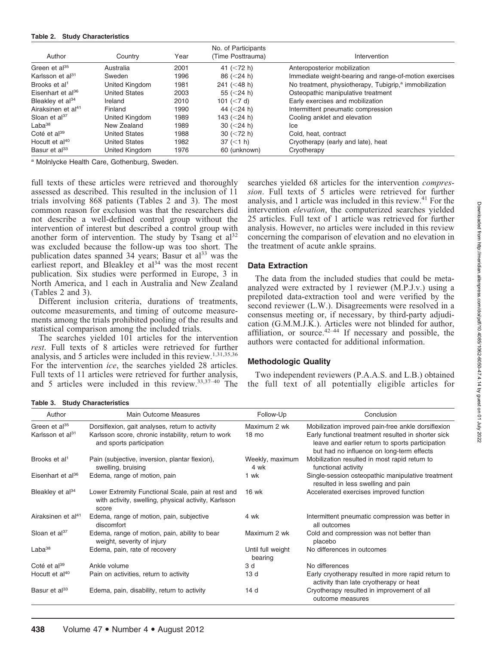#### Table 2. Study Characteristics

| Author                         | Country              | Year | No. of Participants<br>(Time Posttrauma) | Intervention                                                       |  |  |  |  |
|--------------------------------|----------------------|------|------------------------------------------|--------------------------------------------------------------------|--|--|--|--|
| Green et $a^{35}$              | Australia            | 2001 | 41 $(< 72 h)$                            | Anteroposterior mobilization                                       |  |  |  |  |
| Karlsson et al <sup>31</sup>   | Sweden               | 1996 | 86 $(< 24 h)$                            | Immediate weight-bearing and range-of-motion exercises             |  |  |  |  |
| Brooks et al <sup>1</sup>      | United Kingdom       | 1981 | 241 ( $<$ 48 h)                          | No treatment, physiotherapy, Tubigrip, <sup>a</sup> immobilization |  |  |  |  |
| Eisenhart et $a^{36}$          | <b>United States</b> | 2003 | 55 $(< 24 h)$                            | Osteopathic manipulative treatment                                 |  |  |  |  |
| Bleakley et al <sup>34</sup>   | Ireland              | 2010 | 101 $(< 7 d)$                            | Early exercises and mobilization                                   |  |  |  |  |
| Airaksinen et al <sup>41</sup> | Finland              | 1990 | 44 $(<$ 24 h)                            | Intermittent pneumatic compression                                 |  |  |  |  |
| Sloan et $al37$                | United Kingdom       | 1989 | 143 $(<$ 24 h)                           | Cooling anklet and elevation                                       |  |  |  |  |
| $Laba^{38}$                    | New Zealand          | 1989 | 30 $(< 24 h)$                            | lce                                                                |  |  |  |  |
| Coté et al <sup>39</sup>       | <b>United States</b> | 1988 | 30 $(< 72 h)$                            | Cold. heat. contract                                               |  |  |  |  |
| Hocutt et al <sup>40</sup>     | <b>United States</b> | 1982 | $37 \leq 1 h$                            | Cryotherapy (early and late), heat                                 |  |  |  |  |
| Basur et al <sup>33</sup>      | United Kingdom       | 1976 | 60 (unknown)                             | Cryotherapy                                                        |  |  |  |  |

<sup>a</sup> Molnlycke Health Care, Gothenburg, Sweden.

full texts of these articles were retrieved and thoroughly assessed as described. This resulted in the inclusion of 11 trials involving 868 patients (Tables 2 and 3). The most common reason for exclusion was that the researchers did not describe a well-defined control group without the intervention of interest but described a control group with another form of intervention. The study by Tsang et  $al^{32}$ was excluded because the follow-up was too short. The publication dates spanned 34 years; Basur et al<sup>33</sup> was the earliest report, and Bleakley et  $al<sup>34</sup>$  was the most recent publication. Six studies were performed in Europe, 3 in North America, and 1 each in Australia and New Zealand (Tables 2 and 3).

Different inclusion criteria, durations of treatments, outcome measurements, and timing of outcome measurements among the trials prohibited pooling of the results and statistical comparison among the included trials.

The searches yielded 101 articles for the intervention rest. Full texts of 8 articles were retrieved for further analysis, and 5 articles were included in this review.<sup>1,31,35,36</sup> For the intervention ice, the searches yielded 28 articles. Full texts of 11 articles were retrieved for further analysis, and 5 articles were included in this review.33,37–40 The searches yielded 68 articles for the intervention compression. Full texts of 5 articles were retrieved for further analysis, and 1 article was included in this review.41 For the intervention elevation, the computerized searches yielded 25 articles. Full text of 1 article was retrieved for further analysis. However, no articles were included in this review concerning the comparison of elevation and no elevation in the treatment of acute ankle sprains.

## Data Extraction

The data from the included studies that could be metaanalyzed were extracted by 1 reviewer (M.P.J.v.) using a prepiloted data-extraction tool and were verified by the second reviewer (L.W.). Disagreements were resolved in a consensus meeting or, if necessary, by third-party adjudication (G.M.M.J.K.). Articles were not blinded for author, affiliation, or source. $42-44$  If necessary and possible, the authors were contacted for additional information.

## Methodologic Quality

Two independent reviewers (P.A.A.S. and L.B.) obtained the full text of all potentially eligible articles for

Table 3. Study Characteristics

| Author                                                    | <b>Main Outcome Measures</b>                                                                                        | Follow-Up                       | Conclusion                                                                                                |
|-----------------------------------------------------------|---------------------------------------------------------------------------------------------------------------------|---------------------------------|-----------------------------------------------------------------------------------------------------------|
| Green et al <sup>35</sup><br>Karlsson et al <sup>31</sup> | Dorsiflexion, gait analyses, return to activity<br>Karlsson score, chronic instability, return to work              | Maximum 2 wk<br>$18 \text{ mo}$ | Mobilization improved pain-free ankle dorsiflexion<br>Early functional treatment resulted in shorter sick |
|                                                           | and sports participation                                                                                            |                                 | leave and earlier return to sports participation<br>but had no influence on long-term effects             |
| Brooks et al <sup>1</sup>                                 | Pain (subjective, inversion, plantar flexion),<br>swelling, bruising                                                | Weekly, maximum<br>4 wk         | Mobilization resulted in most rapid return to<br>functional activity                                      |
| Eisenhart et al <sup>36</sup>                             | Edema, range of motion, pain                                                                                        | 1 wk                            | Single-session osteopathic manipulative treatment<br>resulted in less swelling and pain                   |
| Bleakley et al <sup>34</sup>                              | Lower Extremity Functional Scale, pain at rest and<br>with activity, swelling, physical activity, Karlsson<br>score | <b>16 wk</b>                    | Accelerated exercises improved function                                                                   |
| Airaksinen et al <sup>41</sup>                            | Edema, range of motion, pain, subjective<br>discomfort                                                              | 4 wk                            | Intermittent pneumatic compression was better in<br>all outcomes                                          |
| Sloan et $al37$                                           | Edema, range of motion, pain, ability to bear<br>weight, severity of injury                                         | Maximum 2 wk                    | Cold and compression was not better than<br>placebo                                                       |
| Laba <sup>38</sup>                                        | Edema, pain, rate of recovery                                                                                       | Until full weight<br>bearing    | No differences in outcomes                                                                                |
| Coté et al <sup>39</sup>                                  | Ankle volume                                                                                                        | 3 d                             | No differences                                                                                            |
| Hocutt et al <sup>40</sup>                                | Pain on activities, return to activity                                                                              | 13 d                            | Early cryotherapy resulted in more rapid return to<br>activity than late cryotherapy or heat              |
| Basur et al <sup>33</sup>                                 | Edema, pain, disability, return to activity                                                                         | 14 d                            | Cryotherapy resulted in improvement of all<br>outcome measures                                            |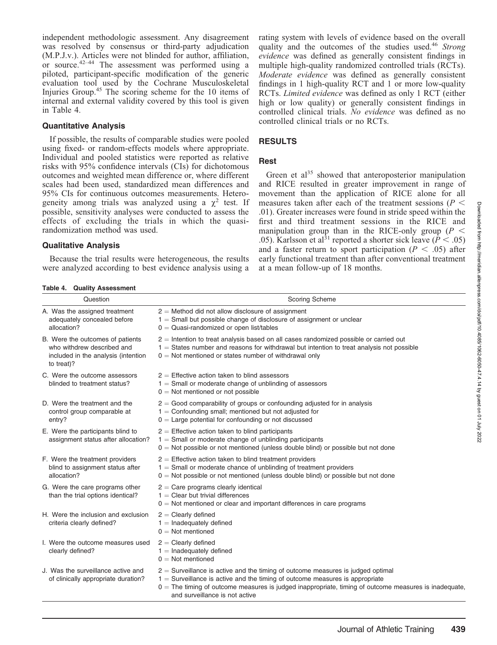independent methodologic assessment. Any disagreement was resolved by consensus or third-party adjudication (M.P.J.v.). Articles were not blinded for author, affiliation, or source. $42-44$  The assessment was performed using a piloted, participant-specific modification of the generic evaluation tool used by the Cochrane Musculoskeletal Injuries Group.45 The scoring scheme for the 10 items of internal and external validity covered by this tool is given in Table 4.

#### Quantitative Analysis

If possible, the results of comparable studies were pooled using fixed- or random-effects models where appropriate. Individual and pooled statistics were reported as relative risks with 95% confidence intervals (CIs) for dichotomous outcomes and weighted mean difference or, where different scales had been used, standardized mean differences and 95% CIs for continuous outcomes measurements. Heterogeneity among trials was analyzed using a  $\chi^2$  test. If possible, sensitivity analyses were conducted to assess the effects of excluding the trials in which the quasirandomization method was used.

#### Qualitative Analysis

Because the trial results were heterogeneous, the results were analyzed according to best evidence analysis using a rating system with levels of evidence based on the overall quality and the outcomes of the studies used.<sup>46</sup> Strong evidence was defined as generally consistent findings in multiple high-quality randomized controlled trials (RCTs). Moderate evidence was defined as generally consistent findings in 1 high-quality RCT and 1 or more low-quality RCTs. Limited evidence was defined as only 1 RCT (either high or low quality) or generally consistent findings in controlled clinical trials. No evidence was defined as no controlled clinical trials or no RCTs.

## RESULTS

#### Rest

Green et  $al^{35}$  showed that anteroposterior manipulation and RICE resulted in greater improvement in range of movement than the application of RICE alone for all measures taken after each of the treatment sessions ( $P \leq$ .01). Greater increases were found in stride speed within the first and third treatment sessions in the RICE and manipulation group than in the RICE-only group ( $P \leq$ .05). Karlsson et al<sup>31</sup> reported a shorter sick leave ( $\dot{P}$  < .05) and a faster return to sport participation ( $P < .05$ ) after early functional treatment than after conventional treatment at a mean follow-up of 18 months.

Table 4. Quality Assessment

| Question                                                                                                            | <b>Scoring Scheme</b>                                                                                                                                                                                                                                                                                            |  |  |  |  |  |
|---------------------------------------------------------------------------------------------------------------------|------------------------------------------------------------------------------------------------------------------------------------------------------------------------------------------------------------------------------------------------------------------------------------------------------------------|--|--|--|--|--|
| A. Was the assigned treatment<br>adequately concealed before<br>allocation?                                         | $2 =$ Method did not allow disclosure of assignment<br>$1 =$ Small but possible change of disclosure of assignment or unclear<br>$0 =$ Quasi-randomized or open list/tables                                                                                                                                      |  |  |  |  |  |
| B. Were the outcomes of patients<br>who withdrew described and<br>included in the analysis (intention<br>to treat)? | $2$ = Intention to treat analysis based on all cases randomized possible or carried out<br>$1 =$ States number and reasons for withdrawal but intention to treat analysis not possible<br>$0 =$ Not mentioned or states number of withdrawal only                                                                |  |  |  |  |  |
| C. Were the outcome assessors<br>blinded to treatment status?                                                       | $2$ = Effective action taken to blind assessors<br>$1 =$ Small or moderate change of unblinding of assessors<br>$0 =$ Not mentioned or not possible                                                                                                                                                              |  |  |  |  |  |
| D. Were the treatment and the<br>control group comparable at<br>entry?                                              | $2 =$ Good comparability of groups or confounding adjusted for in analysis<br>$1 =$ Confounding small; mentioned but not adjusted for<br>$0 =$ Large potential for confounding or not discussed                                                                                                                  |  |  |  |  |  |
| E. Were the participants blind to<br>assignment status after allocation?                                            | $2$ = Effective action taken to blind participants<br>$1 =$ Small or moderate change of unblinding participants<br>$0 =$ Not possible or not mentioned (unless double blind) or possible but not done                                                                                                            |  |  |  |  |  |
| F. Were the treatment providers<br>blind to assignment status after<br>allocation?                                  | $2$ = Effective action taken to blind treatment providers<br>$1 =$ Small or moderate chance of unblinding of treatment providers<br>$0 =$ Not possible or not mentioned (unless double blind) or possible but not done                                                                                           |  |  |  |  |  |
| G. Were the care programs other<br>than the trial options identical?                                                | $2$ = Care programs clearly identical<br>$1 =$ Clear but trivial differences<br>$0 =$ Not mentioned or clear and important differences in care programs                                                                                                                                                          |  |  |  |  |  |
| H. Were the inclusion and exclusion<br>criteria clearly defined?                                                    | $2$ = Clearly defined<br>$1 =$ Inadequately defined<br>$0 = Not$ mentioned                                                                                                                                                                                                                                       |  |  |  |  |  |
| I. Were the outcome measures used<br>clearly defined?                                                               | $2$ = Clearly defined<br>$1 =$ Inadequately defined<br>$0 =$ Not mentioned                                                                                                                                                                                                                                       |  |  |  |  |  |
| J. Was the surveillance active and<br>of clinically appropriate duration?                                           | $2 =$ Surveillance is active and the timing of outcome measures is judged optimal<br>$1 =$ Surveillance is active and the timing of outcome measures is appropriate<br>$0 =$ The timing of outcome measures is judged inappropriate, timing of outcome measures is inadequate,<br>and surveillance is not active |  |  |  |  |  |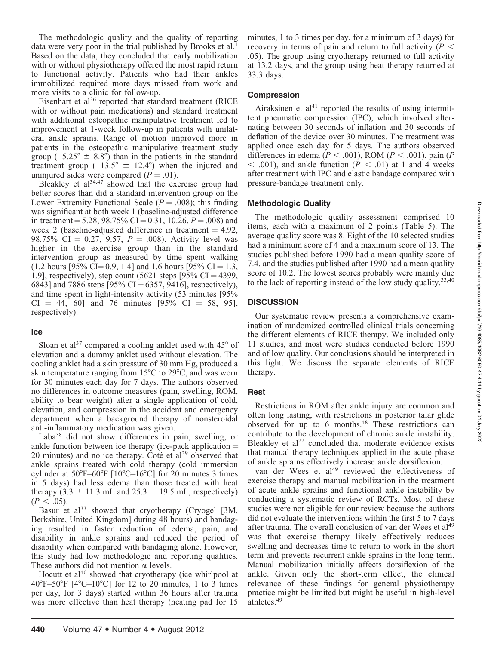The methodologic quality and the quality of reporting data were very poor in the trial published by Brooks et al.<sup>1</sup> Based on the data, they concluded that early mobilization with or without physiotherapy offered the most rapid return to functional activity. Patients who had their ankles immobilized required more days missed from work and more visits to a clinic for follow-up.

Eisenhart et al<sup>36</sup> reported that standard treatment (RICE with or without pain medications) and standard treatment with additional osteopathic manipulative treatment led to improvement at 1-week follow-up in patients with unilateral ankle sprains. Range of motion improved more in patients in the osteopathic manipulative treatment study group  $(-5.25^{\circ} \pm 8.8^{\circ})$  than in the patients in the standard treatment group  $(-13.5^{\circ} \pm 12.4^{\circ})$  when the injured and uninjured sides were compared  $(P = .01)$ .

Bleakley et  $a^{34,47}$  showed that the exercise group had better scores than did a standard intervention group on the Lower Extremity Functional Scale ( $P = .008$ ); this finding was significant at both week 1 (baseline-adjusted difference in treatment = 5.28, 98.75% CI = 0.31, 10.26,  $P = .008$ ) and week 2 (baseline-adjusted difference in treatment  $= 4.92$ , 98.75% CI = 0.27, 9.57,  $P = .008$ ). Activity level was higher in the exercise group than in the standard intervention group as measured by time spent walking  $(1.2 \text{ hours } [95\% \text{ CI} = 0.9, 1.4] \text{ and } 1.6 \text{ hours } [95\% \text{ CI} = 1.3,$ 1.9], respectively), step count  $(5621 \text{ steps } [95\% \text{ CI} = 4399,$ 6843] and 7886 steps [95% CI = 6357, 9416], respectively), and time spent in light-intensity activity (53 minutes [95%  $CI = 44, 60$ ] and 76 minutes [95%  $CI = 58, 95$ ], respectively).

## Ice

Sloan et al<sup>37</sup> compared a cooling anklet used with  $45^{\circ}$  of elevation and a dummy anklet used without elevation. The cooling anklet had a skin pressure of 30 mm Hg, produced a skin temperature ranging from  $15^{\circ}$ C to 29 $^{\circ}$ C, and was worn for 30 minutes each day for 7 days. The authors observed no differences in outcome measures (pain, swelling, ROM, ability to bear weight) after a single application of cold, elevation, and compression in the accident and emergency department when a background therapy of nonsteroidal anti-inflammatory medication was given.

Laba<sup>38</sup> did not show differences in pain, swelling, or ankle function between ice therapy (ice-pack application  $=$ 20 minutes) and no ice therapy. Coté et  $a^{139}$  observed that ankle sprains treated with cold therapy (cold immersion cylinder at  $50^{\circ}$ F–60°F [10°C–16°C] for 20 minutes 3 times in 5 days) had less edema than those treated with heat therapy (3.3  $\pm$  11.3 mL and 25.3  $\pm$  19.5 mL, respectively)  $(P < .05)$ .

Basur et al<sup>33</sup> showed that cryotherapy (Cryogel [3M, Berkshire, United Kingdom] during 48 hours) and bandaging resulted in faster reduction of edema, pain, and disability in ankle sprains and reduced the period of disability when compared with bandaging alone. However, this study had low methodologic and reporting qualities. These authors did not mention  $\alpha$  levels.

Hocutt et al<sup>40</sup> showed that cryotherapy (ice whirlpool at 40°F–50°F  $[4^{\circ}$ C–10°C] for 12 to 20 minutes, 1 to 3 times per day, for 3 days) started within 36 hours after trauma was more effective than heat therapy (heating pad for 15

minutes, 1 to 3 times per day, for a minimum of 3 days) for recovery in terms of pain and return to full activity ( $P \leq$ .05). The group using cryotherapy returned to full activity at 13.2 days, and the group using heat therapy returned at 33.3 days.

#### Compression

Airaksinen et  $a^{14}$  reported the results of using intermittent pneumatic compression (IPC), which involved alternating between 30 seconds of inflation and 30 seconds of deflation of the device over 30 minutes. The treatment was applied once each day for 5 days. The authors observed differences in edema ( $P < .001$ ), ROM ( $P < .001$ ), pain (P  $<$  .001), and ankle function ( $P <$  .01) at 1 and 4 weeks after treatment with IPC and elastic bandage compared with pressure-bandage treatment only.

## Methodologic Quality

The methodologic quality assessment comprised 10 items, each with a maximum of 2 points (Table 5). The average quality score was 8. Eight of the 10 selected studies had a minimum score of 4 and a maximum score of 13. The studies published before 1990 had a mean quality score of 7.4, and the studies published after 1990 had a mean quality score of 10.2. The lowest scores probably were mainly due to the lack of reporting instead of the low study quality. $33,40$ 

## **DISCUSSION**

Our systematic review presents a comprehensive examination of randomized controlled clinical trials concerning the different elements of RICE therapy. We included only 11 studies, and most were studies conducted before 1990 and of low quality. Our conclusions should be interpreted in this light. We discuss the separate elements of RICE therapy.

## Rest

Restrictions in ROM after ankle injury are common and often long lasting, with restrictions in posterior talar glide observed for up to 6 months.48 These restrictions can contribute to the development of chronic ankle instability. Bleakley et  $al^{22}$  concluded that moderate evidence exists that manual therapy techniques applied in the acute phase of ankle sprains effectively increase ankle dorsiflexion.

van der Wees et al<sup>49</sup> reviewed the effectiveness of exercise therapy and manual mobilization in the treatment of acute ankle sprains and functional ankle instability by conducting a systematic review of RCTs. Most of these studies were not eligible for our review because the authors did not evaluate the interventions within the first 5 to 7 days after trauma. The overall conclusion of van der Wees et al<sup>49</sup> was that exercise therapy likely effectively reduces swelling and decreases time to return to work in the short term and prevents recurrent ankle sprains in the long term. Manual mobilization initially affects dorsiflexion of the ankle. Given only the short-term effect, the clinical relevance of these findings for general physiotherapy practice might be limited but might be useful in high-level athletes.<sup>49</sup>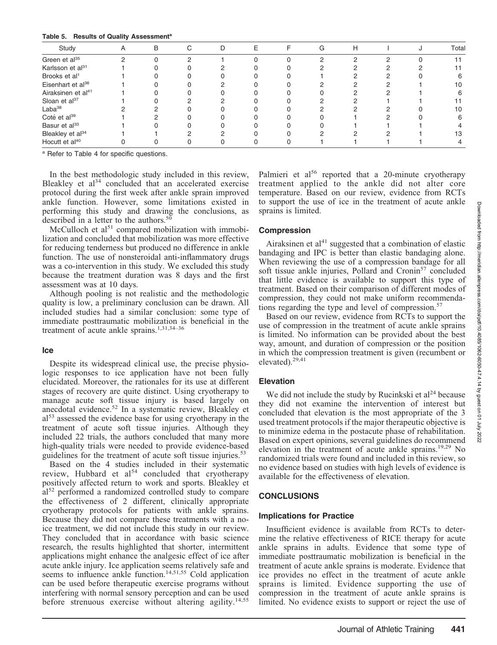#### Table 5. Results of Quality Assessment<sup>a</sup>

| Study                          | Α | В | С | D | F. | F | G | Н |  | Total |
|--------------------------------|---|---|---|---|----|---|---|---|--|-------|
| Green et al <sup>35</sup>      |   |   | C |   |    |   |   |   |  |       |
| Karlsson et al <sup>31</sup>   |   |   |   |   |    |   |   |   |  |       |
| Brooks et al <sup>1</sup>      |   |   |   |   |    |   |   |   |  |       |
| Eisenhart et al <sup>36</sup>  |   |   |   |   |    |   |   |   |  | 10    |
| Airaksinen et al <sup>41</sup> |   |   |   |   |    |   |   |   |  |       |
| Sloan et al <sup>37</sup>      |   |   |   |   |    |   |   |   |  |       |
| $Laba^{38}$                    |   |   |   |   |    |   |   |   |  | 10    |
| Coté et al <sup>39</sup>       |   |   |   |   |    |   |   |   |  |       |
| Basur et al <sup>33</sup>      |   |   |   |   |    |   |   |   |  |       |
| Bleakley et al <sup>34</sup>   |   |   |   |   |    |   |   |   |  | 13    |
| Hocutt et al <sup>40</sup>     |   |   |   |   |    |   |   |   |  |       |

<sup>a</sup> Refer to Table 4 for specific questions.

In the best methodologic study included in this review, Bleakley et  $a^{34}$  concluded that an accelerated exercise protocol during the first week after ankle sprain improved ankle function. However, some limitations existed in performing this study and drawing the conclusions, as described in a letter to the authors. $50$ 

McCulloch et al<sup>51</sup> compared mobilization with immobilization and concluded that mobilization was more effective for reducing tenderness but produced no difference in ankle function. The use of nonsteroidal anti-inflammatory drugs was a co-intervention in this study. We excluded this study because the treatment duration was 8 days and the first assessment was at 10 days.

Although pooling is not realistic and the methodologic quality is low, a preliminary conclusion can be drawn. All included studies had a similar conclusion: some type of immediate posttraumatic mobilization is beneficial in the treatment of acute ankle sprains.<sup>1,31,34–36</sup>

#### Ice

Despite its widespread clinical use, the precise physiologic responses to ice application have not been fully elucidated. Moreover, the rationales for its use at different stages of recovery are quite distinct. Using cryotherapy to manage acute soft tissue injury is based largely on anecdotal evidence.<sup>52</sup> In a systematic review, Bleakley et al<sup>53</sup> assessed the evidence base for using cryotherapy in the treatment of acute soft tissue injuries. Although they included 22 trials, the authors concluded that many more high-quality trials were needed to provide evidence-based guidelines for the treatment of acute soft tissue injuries.<sup>53</sup>

Based on the 4 studies included in their systematic review, Hubbard et  $al<sup>54</sup>$  concluded that cryotherapy positively affected return to work and sports. Bleakley et  $al<sup>52</sup>$  performed a randomized controlled study to compare the effectiveness of 2 different, clinically appropriate cryotherapy protocols for patients with ankle sprains. Because they did not compare these treatments with a noice treatment, we did not include this study in our review. They concluded that in accordance with basic science research, the results highlighted that shorter, intermittent applications might enhance the analgesic effect of ice after acute ankle injury. Ice application seems relatively safe and seems to influence ankle function.<sup>14,51,55</sup> Cold application can be used before therapeutic exercise programs without interfering with normal sensory perception and can be used before strenuous exercise without altering agility.<sup>14,55</sup> Palmieri et al<sup>56</sup> reported that a 20-minute cryotherapy treatment applied to the ankle did not alter core temperature. Based on our review, evidence from RCTs to support the use of ice in the treatment of acute ankle sprains is limited.

#### Compression

Airaksinen et al $41$  suggested that a combination of elastic bandaging and IPC is better than elastic bandaging alone. When reviewing the use of a compression bandage for all soft tissue ankle injuries, Pollard and Cronin<sup>57</sup> concluded that little evidence is available to support this type of treatment. Based on their comparison of different modes of compression, they could not make uniform recommendations regarding the type and level of compression.<sup>57</sup>

Based on our review, evidence from RCTs to support the use of compression in the treatment of acute ankle sprains is limited. No information can be provided about the best way, amount, and duration of compression or the position in which the compression treatment is given (recumbent or elevated).29,41

## Elevation

We did not include the study by Rucinkski et  $al<sup>24</sup>$  because they did not examine the intervention of interest but concluded that elevation is the most appropriate of the 3 used treatment protocols if the major therapeutic objective is to minimize edema in the postacute phase of rehabilitation. Based on expert opinions, several guidelines do recommend elevation in the treatment of acute ankle sprains.<sup>19,29</sup> No randomized trials were found and included in this review, so no evidence based on studies with high levels of evidence is available for the effectiveness of elevation.

## **CONCLUSIONS**

#### Implications for Practice

Insufficient evidence is available from RCTs to determine the relative effectiveness of RICE therapy for acute ankle sprains in adults. Evidence that some type of immediate posttraumatic mobilization is beneficial in the treatment of acute ankle sprains is moderate. Evidence that ice provides no effect in the treatment of acute ankle sprains is limited. Evidence supporting the use of compression in the treatment of acute ankle sprains is limited. No evidence exists to support or reject the use of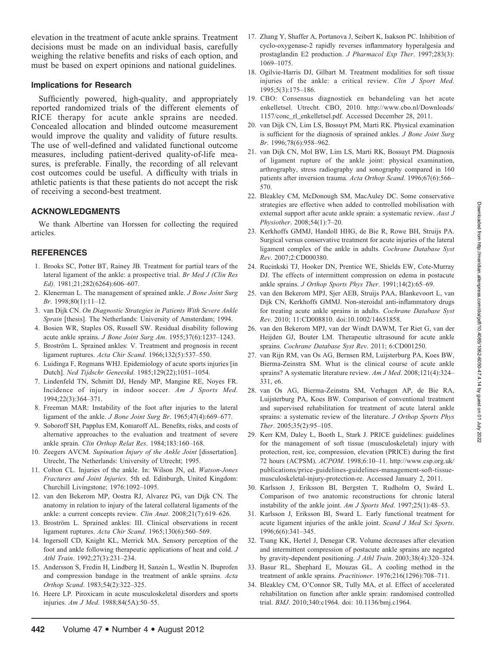Downloaded from http://meridian.allenpress.com/doi/pdf/10.4085/1062-6050-47.4.14 by guest on 01 July 2022 Downloaded from http://meridian.allenpress.com/doi/pdf/10.4085/1062-6050-47.4.14 by guest on 01 July 2022

elevation in the treatment of acute ankle sprains. Treatment decisions must be made on an individual basis, carefully weighing the relative benefits and risks of each option, and must be based on expert opinions and national guidelines.

#### Implications for Research

Sufficiently powered, high-quality, and appropriately reported randomized trials of the different elements of RICE therapy for acute ankle sprains are needed. Concealed allocation and blinded outcome measurement would improve the quality and validity of future results. The use of well-defined and validated functional outcome measures, including patient-derived quality-of-life measures, is preferable. Finally, the recording of all relevant cost outcomes could be useful. A difficulty with trials in athletic patients is that these patients do not accept the risk of receiving a second-best treatment.

## ACKNOWLEDGMENTS

We thank Albertine van Horssen for collecting the required articles.

## **REFERENCES**

- 1. Brooks SC, Potter BT, Rainey JB. Treatment for partial tears of the lateral ligament of the ankle: a prospective trial. Br Med J (Clin Res Ed). 1981;21;282(6264):606–607.
- 2. Klenerman L. The management of sprained ankle. J Bone Joint Surg Br. 1998;80(1):11–12.
- 3. van Dijk CN. On Diagnostic Strategies in Patients With Severe Ankle Sprain [thesis]. The Netherlands: University of Amsterdam; 1994.
- 4. Bosien WR, Staples OS, Russell SW. Residual disability following acute ankle sprains. J Bone Joint Surg Am. 1955;37(6):1237–1243.
- 5. Broström L. Sprained ankles: V. Treatment and prognosis in recent ligament ruptures. Acta Chir Scand. 1966;132(5):537–550.
- 6. Luidinga F, Rogmans WHJ. Epidemiology of acute sports injuries [in Dutch]. Ned Tijdschr Geneeskd. 1985;129(22);1051–1054.
- 7. Lindenfeld TN, Schmitt DJ, Hendy MP, Mangine RE, Noyes FR. Incidence of injury in indoor soccer. Am J Sports Med. 1994;22(3):364–371.
- 8. Freeman MAR: Instability of the foot after injuries to the lateral ligament of the ankle. J Bone Joint Surg Br. 1965;47(4):669–677.
- 9. Soboroff SH, Papplus EM, Komaroff AL. Benefits, risks, and costs of alternative approaches to the evaluation and treatment of severe ankle sprain. Clin Orthop Relat Res. 1984;183:160–168.
- 10. Zeegers AVCM. Supination Injury of the Ankle Joint [dissertation]. Utrecht, The Netherlands: University of Utrecht; 1995.
- 11. Colton CL. Injuries of the ankle. In: Wilson JN, ed. Watson-Jones Fractures and Joint Injuries. 5th ed. Edinburgh, United Kingdom: Churchill Livingstone; 1976:1092–1095.
- 12. van den Bekerom MP, Oostra RJ, Alvarez PG, van Dijk CN. The anatomy in relation to injury of the lateral collateral ligaments of the ankle: a current concepts review. Clin Anat. 2008;21(7):619–626.
- 13. Broström L. Sprained ankles: III. Clinical observations in recent ligament ruptures. Acta Chir Scand. 1965;130(6):560–569.
- 14. Ingersoll CD, Knight KL, Merrick MA. Sensory perception of the foot and ankle following therapeutic applications of heat and cold. J Athl Train. 1992;27(3):231–234.
- 15. Andersson S, Fredin H, Lindberg H, Sanzén L, Westlin N. Ibuprofen and compression bandage in the treatment of ankle sprains. Acta Orthop Scand. 1983;54(2):322–325.
- 16. Heere LP. Piroxicam in acute musculoskeletal disorders and sports injuries. Am J Med. 1988;84(5A):50–55.
- 17. Zhang Y, Shaffer A, Portanova J, Seibert K, Isakson PC. Inhibition of cyclo-oxygenase-2 rapidly reverses inflammatory hyperalgesia and prostaglandin E2 production. J Pharmacol Exp Ther. 1997;283(3): 1069–1075.
- 18. Ogilvie-Harris DJ, Gilbart M. Treatment modalities for soft tissue injuries of the ankle: a critical review. Clin J Sport Med. 1995;5(3):175–186.
- 19. CBO: Consensus diagnostiek en behandeling van het acute enkelletsel. Utrecht. CBO, 2010. http://www.cbo.nl/Downloads/ 1157/conc\_rl\_enkelletsel.pdf. Accessed December 28, 2011.
- 20. van Dijk CN, Lim LS, Bossuyt PM, Marti RK. Physical examination is sufficient for the diagnosis of sprained ankles. J Bone Joint Surg Br. 1996;78(6):958–962.
- 21. van Dijk CN, Mol BW, Lim LS, Marti RK, Bossuyt PM. Diagnosis of ligament rupture of the ankle joint: physical examination, arthrography, stress radiography and sonography compared in 160 patients after inversion trauma. Acta Orthop Scand. 1996;67(6):566-570.
- 22. Bleakley CM, McDonough SM, MacAuley DC. Some conservative strategies are effective when added to controlled mobilisation with external support after acute ankle sprain: a systematic review. Aust J Physiother. 2008;54(1):7–20.
- 23. Kerkhoffs GMMJ, Handoll HHG, de Bie R, Rowe BH, Struijs PA. Surgical versus conservative treatment for acute injuries of the lateral ligament complex of the ankle in adults. Cochrane Database Syst Rev. 2007;2:CD000380.
- 24. Rucinkski TJ, Hooker DN, Prentice WE, Shields EW, Cote-Murray DJ. The effects of intermittent compression on edema in postacute ankle sprains. J Orthop Sports Phys Ther. 1991;14(2):65-69.
- 25. van den Bekerom MPJ, Sjer AEB, Struijs PAA, Blankevoort L, van Dijk CN, Kerkhoffs GMMJ. Non-steroidal anti-inflammatory drugs for treating acute ankle sprains in adults. Cochrane Database Syst Rev. 2010; 11:CD008810. doi:10.1002/14651858.
- 26. van den Bekerom MPJ, van der Windt DAWM, Ter Riet G, van der Heijden GJ, Bouter LM. Therapeutic ultrasound for acute ankle sprains. Cochrane Database Syst Rev. 2011; 6:CD001250.
- 27. van Rijn RM, van Os AG, Bernsen RM, Luijsterburg PA, Koes BW, Bierma-Zeinstra SM. What is the clinical course of acute ankle sprains? A systematic literature review. Am J Med. 2008;121(4):324-331, e6.
- 28. van Os AG, Bierma-Zeinstra SM, Verhagen AP, de Bie RA, Luijsterburg PA, Koes BW. Comparison of conventional treatment and supervised rehabilitation for treatment of acute lateral ankle sprains: a systematic review of the literature. J Orthop Sports Phys Ther. 2005;35(2):95–105.
- 29. Kerr KM, Daley L, Booth L, Stark J. PRICE guidelines: guidelines for the management of soft tissue (musculoskeletal) injury with protection, rest, ice, compression, elevation (PRICE) during the first 72 hours (ACPSM). ACPOM. 1998;6:10–11. http://www.csp.org.uk/ publications/price-guidelines-guidelines-management-soft-tissuemusculoskeletal-injury-protection-re. Accessed January 2, 2011.
- 30. Karlsson J, Eriksson BI, Bergsten T, Rudholm O, Sward L. ¨ Comparison of two anatomic reconstructions for chronic lateral instability of the ankle joint. Am J Sports Med. 1997;25(1):48–53.
- 31. Karlsson J, Eriksson BI, Sward L. Early functional treatment for acute ligament injuries of the ankle joint. Scand J Med Sci Sports. 1996;6(6):341–345.
- 32. Tsang KK, Hertel J, Denegar CR. Volume decreases after elevation and intermittent compression of postacute ankle sprains are negated by gravity-dependent positioning. J Athl Train. 2003;38(4):320–324.
- 33. Basur RL, Shephard E, Mouzas GL. A cooling method in the treatment of ankle sprains. Practitioner. 1976;216(1296):708–711.
- 34. Bleakley CM, O'Connor SR, Tully MA, et al. Effect of accelerated rehabilitation on function after ankle sprain: randomised controlled trial. BMJ. 2010;340:c1964. doi: 10.1136/bmj.c1964.